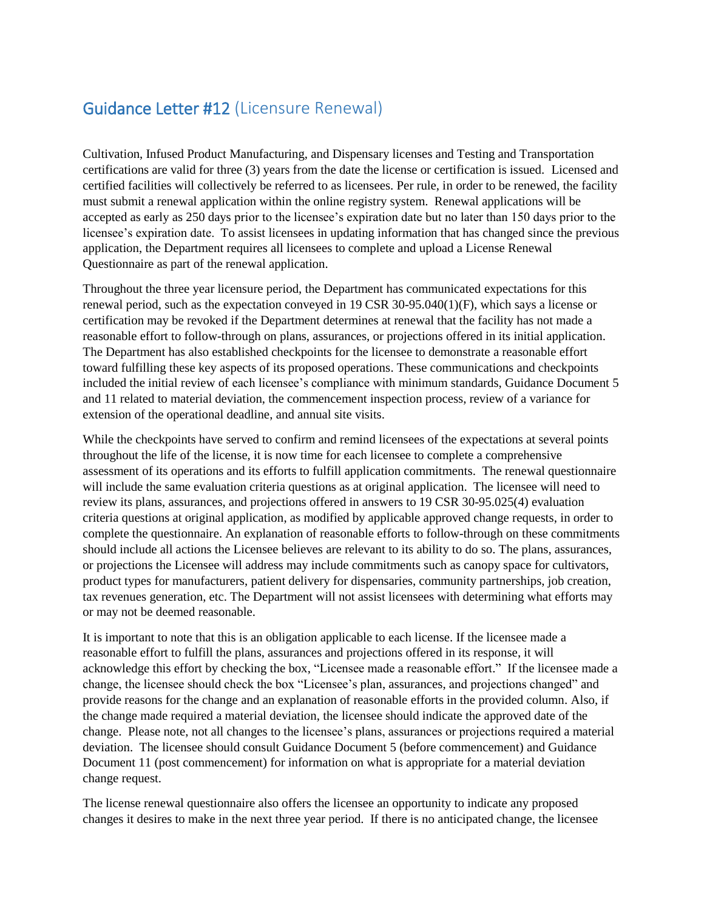## Guidance Letter #12 (Licensure Renewal)

Cultivation, Infused Product Manufacturing, and Dispensary licenses and Testing and Transportation certifications are valid for three (3) years from the date the license or certification is issued. Licensed and certified facilities will collectively be referred to as licensees. Per rule, in order to be renewed, the facility must submit a renewal application within the online registry system. Renewal applications will be accepted as early as 250 days prior to the licensee's expiration date but no later than 150 days prior to the licensee's expiration date. To assist licensees in updating information that has changed since the previous application, the Department requires all licensees to complete and upload a License Renewal Questionnaire as part of the renewal application.

Throughout the three year licensure period, the Department has communicated expectations for this renewal period, such as the expectation conveyed in 19 CSR 30-95.040(1)(F), which says a license or certification may be revoked if the Department determines at renewal that the facility has not made a reasonable effort to follow-through on plans, assurances, or projections offered in its initial application. The Department has also established checkpoints for the licensee to demonstrate a reasonable effort toward fulfilling these key aspects of its proposed operations. These communications and checkpoints included the initial review of each licensee's compliance with minimum standards, Guidance Document 5 and 11 related to material deviation, the commencement inspection process, review of a variance for extension of the operational deadline, and annual site visits.

While the checkpoints have served to confirm and remind licensees of the expectations at several points throughout the life of the license, it is now time for each licensee to complete a comprehensive assessment of its operations and its efforts to fulfill application commitments. The renewal questionnaire will include the same evaluation criteria questions as at original application. The licensee will need to review its plans, assurances, and projections offered in answers to 19 CSR 30-95.025(4) evaluation criteria questions at original application, as modified by applicable approved change requests, in order to complete the questionnaire. An explanation of reasonable efforts to follow-through on these commitments should include all actions the Licensee believes are relevant to its ability to do so. The plans, assurances, or projections the Licensee will address may include commitments such as canopy space for cultivators, product types for manufacturers, patient delivery for dispensaries, community partnerships, job creation, tax revenues generation, etc. The Department will not assist licensees with determining what efforts may or may not be deemed reasonable.

It is important to note that this is an obligation applicable to each license. If the licensee made a reasonable effort to fulfill the plans, assurances and projections offered in its response, it will acknowledge this effort by checking the box, "Licensee made a reasonable effort." If the licensee made a change, the licensee should check the box "Licensee's plan, assurances, and projections changed" and provide reasons for the change and an explanation of reasonable efforts in the provided column. Also, if the change made required a material deviation, the licensee should indicate the approved date of the change. Please note, not all changes to the licensee's plans, assurances or projections required a material deviation. The licensee should consult Guidance Document 5 (before commencement) and Guidance Document 11 (post commencement) for information on what is appropriate for a material deviation change request.

The license renewal questionnaire also offers the licensee an opportunity to indicate any proposed changes it desires to make in the next three year period. If there is no anticipated change, the licensee